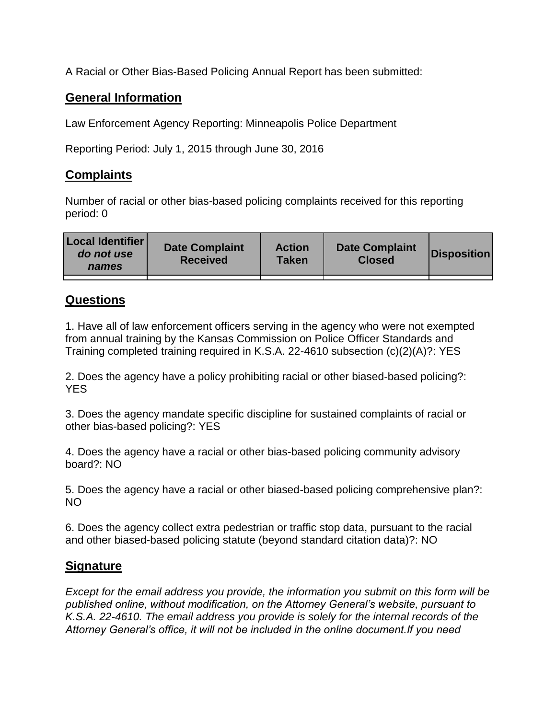A Racial or Other Bias-Based Policing Annual Report has been submitted:

## **General Information**

Law Enforcement Agency Reporting: Minneapolis Police Department

Reporting Period: July 1, 2015 through June 30, 2016

## **Complaints**

Number of racial or other bias-based policing complaints received for this reporting period: 0

| <b>Local Identifier</b><br>do not use<br>names | <b>Date Complaint</b><br><b>Received</b> | <b>Action</b><br><b>Taken</b> | <b>Date Complaint</b><br><b>Closed</b> | Disposition |
|------------------------------------------------|------------------------------------------|-------------------------------|----------------------------------------|-------------|
|                                                |                                          |                               |                                        |             |

## **Questions**

1. Have all of law enforcement officers serving in the agency who were not exempted from annual training by the Kansas Commission on Police Officer Standards and Training completed training required in K.S.A. 22-4610 subsection (c)(2)(A)?: YES

2. Does the agency have a policy prohibiting racial or other biased-based policing?: YES

3. Does the agency mandate specific discipline for sustained complaints of racial or other bias-based policing?: YES

4. Does the agency have a racial or other bias-based policing community advisory board?: NO

5. Does the agency have a racial or other biased-based policing comprehensive plan?: NO

6. Does the agency collect extra pedestrian or traffic stop data, pursuant to the racial and other biased-based policing statute (beyond standard citation data)?: NO

## **Signature**

*Except for the email address you provide, the information you submit on this form will be published online, without modification, on the Attorney General's website, pursuant to K.S.A. 22-4610. The email address you provide is solely for the internal records of the Attorney General's office, it will not be included in the online document.If you need*